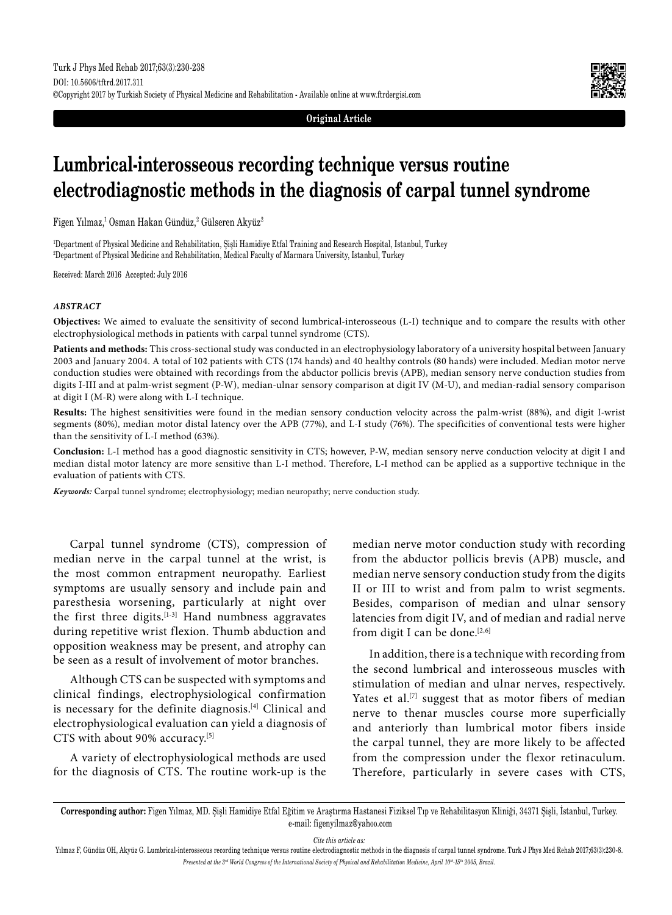

**Original Article**

# **Lumbrical-interosseous recording technique versus routine electrodiagnostic methods in the diagnosis of carpal tunnel syndrome**

Figen Yılmaz,<sup>1</sup> Osman Hakan Gündüz,<sup>2</sup> Gülseren Akyüz<sup>2</sup>

1 Department of Physical Medicine and Rehabilitation, Şişli Hamidiye Etfal Training and Research Hospital, Istanbul, Turkey 2 Department of Physical Medicine and Rehabilitation, Medical Faculty of Marmara University, Istanbul, Turkey

Received: March 2016 Accepted: July 2016

#### *ABSTRACT*

**Objectives:** We aimed to evaluate the sensitivity of second lumbrical-interosseous (L-I) technique and to compare the results with other electrophysiological methods in patients with carpal tunnel syndrome (CTS).

**Patients and methods:** This cross-sectional study was conducted in an electrophysiology laboratory of a university hospital between January 2003 and January 2004. A total of 102 patients with CTS (174 hands) and 40 healthy controls (80 hands) were included. Median motor nerve conduction studies were obtained with recordings from the abductor pollicis brevis (APB), median sensory nerve conduction studies from digits I-III and at palm-wrist segment (P-W), median-ulnar sensory comparison at digit IV (M-U), and median-radial sensory comparison at digit I (M-R) were along with L-I technique.

**Results:** The highest sensitivities were found in the median sensory conduction velocity across the palm-wrist (88%), and digit I-wrist segments (80%), median motor distal latency over the APB (77%), and L-I study (76%). The specificities of conventional tests were higher than the sensitivity of L-I method (63%).

**Conclusion:** L-I method has a good diagnostic sensitivity in CTS; however, P-W, median sensory nerve conduction velocity at digit I and median distal motor latency are more sensitive than L-I method. Therefore, L-I method can be applied as a supportive technique in the evaluation of patients with CTS.

*Keywords:* Carpal tunnel syndrome; electrophysiology; median neuropathy; nerve conduction study.

Carpal tunnel syndrome (CTS), compression of median nerve in the carpal tunnel at the wrist, is the most common entrapment neuropathy. Earliest symptoms are usually sensory and include pain and paresthesia worsening, particularly at night over the first three digits.[1-3] Hand numbness aggravates during repetitive wrist flexion. Thumb abduction and opposition weakness may be present, and atrophy can be seen as a result of involvement of motor branches.

Although CTS can be suspected with symptoms and clinical findings, electrophysiological confirmation is necessary for the definite diagnosis.[4] Clinical and electrophysiological evaluation can yield a diagnosis of CTS with about 90% accuracy.<sup>[5]</sup>

A variety of electrophysiological methods are used for the diagnosis of CTS. The routine work-up is the median nerve motor conduction study with recording from the abductor pollicis brevis (APB) muscle, and median nerve sensory conduction study from the digits II or III to wrist and from palm to wrist segments. Besides, comparison of median and ulnar sensory latencies from digit IV, and of median and radial nerve from digit I can be done.[2,6]

In addition, there is a technique with recording from the second lumbrical and interosseous muscles with stimulation of median and ulnar nerves, respectively. Yates et al.<sup>[7]</sup> suggest that as motor fibers of median nerve to thenar muscles course more superficially and anteriorly than lumbrical motor fibers inside the carpal tunnel, they are more likely to be affected from the compression under the flexor retinaculum. Therefore, particularly in severe cases with CTS,

*Cite this article as:*

**Corresponding author:** Figen Yılmaz, MD. Şişli Hamidiye Etfal Eğitim ve Araştırma Hastanesi Fiziksel Tıp ve Rehabilitasyon Kliniği, 34371 Şişli, İstanbul, Turkey. e-mail: figenyilmaz@yahoo.com

Yılmaz F, Gündüz OH, Akyüz G. Lumbrical-interosseous recording technique versus routine electrodiagnostic methods in the diagnosis of carpal tunnel syndrome. Turk J Phys Med Rehab 2017;63(3):230-8. *Presented at the 3rd World Congress of the International Society of Physical and Rehabilitation Medicine, April 10th-15th 2005, Brazil.*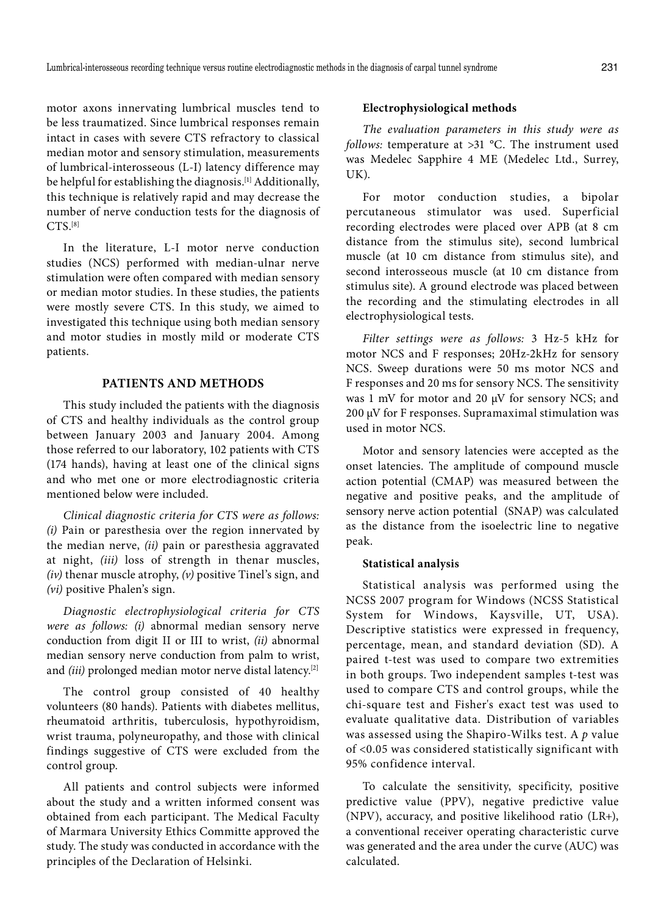motor axons innervating lumbrical muscles tend to be less traumatized. Since lumbrical responses remain intact in cases with severe CTS refractory to classical median motor and sensory stimulation, measurements of lumbrical-interosseous (L-I) latency difference may be helpful for establishing the diagnosis.[1] Additionally, this technique is relatively rapid and may decrease the number of nerve conduction tests for the diagnosis of  $CTS$ <sup>[8]</sup>

In the literature, L-I motor nerve conduction studies (NCS) performed with median-ulnar nerve stimulation were often compared with median sensory or median motor studies. In these studies, the patients were mostly severe CTS. In this study, we aimed to investigated this technique using both median sensory and motor studies in mostly mild or moderate CTS patients.

## **PATIENTS AND METHODS**

This study included the patients with the diagnosis of CTS and healthy individuals as the control group between January 2003 and January 2004. Among those referred to our laboratory, 102 patients with CTS (174 hands), having at least one of the clinical signs and who met one or more electrodiagnostic criteria mentioned below were included.

*Clinical diagnostic criteria for CTS were as follows: (i)* Pain or paresthesia over the region innervated by the median nerve, *(ii)* pain or paresthesia aggravated at night, *(iii)* loss of strength in thenar muscles, *(iv)* thenar muscle atrophy, *(v)* positive Tinel's sign, and *(vi)* positive Phalen's sign.

*Diagnostic electrophysiological criteria for CTS were as follows: (i)* abnormal median sensory nerve conduction from digit II or III to wrist, *(ii)* abnormal median sensory nerve conduction from palm to wrist, and *(iii)* prolonged median motor nerve distal latency.<sup>[2]</sup>

The control group consisted of 40 healthy volunteers (80 hands). Patients with diabetes mellitus, rheumatoid arthritis, tuberculosis, hypothyroidism, wrist trauma, polyneuropathy, and those with clinical findings suggestive of CTS were excluded from the control group.

All patients and control subjects were informed about the study and a written informed consent was obtained from each participant. The Medical Faculty of Marmara University Ethics Committe approved the study. The study was conducted in accordance with the principles of the Declaration of Helsinki.

# **Electrophysiological methods**

*The evaluation parameters in this study were as follows:* temperature at >31 °C. The instrument used was Medelec Sapphire 4 ME (Medelec Ltd., Surrey, UK).

For motor conduction studies, a bipolar percutaneous stimulator was used. Superficial recording electrodes were placed over APB (at 8 cm distance from the stimulus site), second lumbrical muscle (at 10 cm distance from stimulus site), and second interosseous muscle (at 10 cm distance from stimulus site). A ground electrode was placed between the recording and the stimulating electrodes in all electrophysiological tests.

*Filter settings were as follows:* 3 Hz-5 kHz for motor NCS and F responses; 20Hz-2kHz for sensory NCS. Sweep durations were 50 ms motor NCS and F responses and 20 ms for sensory NCS. The sensitivity was 1 mV for motor and 20  $\mu$ V for sensory NCS; and 200 µV for F responses. Supramaximal stimulation was used in motor NCS.

Motor and sensory latencies were accepted as the onset latencies. The amplitude of compound muscle action potential (CMAP) was measured between the negative and positive peaks, and the amplitude of sensory nerve action potential (SNAP) was calculated as the distance from the isoelectric line to negative peak.

#### **Statistical analysis**

Statistical analysis was performed using the NCSS 2007 program for Windows (NCSS Statistical System for Windows, Kaysville, UT, USA). Descriptive statistics were expressed in frequency, percentage, mean, and standard deviation (SD). A paired t-test was used to compare two extremities in both groups. Two independent samples t-test was used to compare CTS and control groups, while the chi-square test and Fisher's exact test was used to evaluate qualitative data. Distribution of variables was assessed using the Shapiro-Wilks test. A *p* value of <0.05 was considered statistically significant with 95% confidence interval.

To calculate the sensitivity, specificity, positive predictive value (PPV), negative predictive value (NPV), accuracy, and positive likelihood ratio (LR+), a conventional receiver operating characteristic curve was generated and the area under the curve (AUC) was calculated.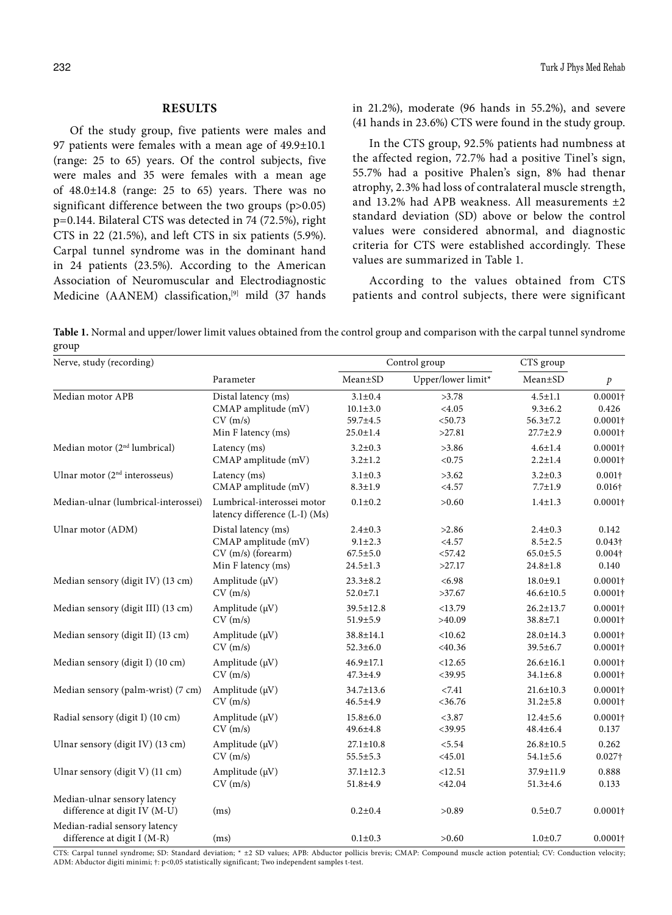### **RESULTS**

Of the study group, five patients were males and 97 patients were females with a mean age of 49.9±10.1 (range: 25 to 65) years. Of the control subjects, five were males and 35 were females with a mean age of  $48.0 \pm 14.8$  (range: 25 to 65) years. There was no significant difference between the two groups (p>0.05) p=0.144. Bilateral CTS was detected in 74 (72.5%), right CTS in 22 (21.5%), and left CTS in six patients (5.9%). Carpal tunnel syndrome was in the dominant hand in 24 patients (23.5%). According to the American Association of Neuromuscular and Electrodiagnostic Medicine (AANEM) classification, $[9]$  mild (37 hands in 21.2%), moderate (96 hands in 55.2%), and severe (41 hands in 23.6%) CTS were found in the study group.

In the CTS group, 92.5% patients had numbness at the affected region, 72.7% had a positive Tinel's sign, 55.7% had a positive Phalen's sign, 8% had thenar atrophy, 2.3% had loss of contralateral muscle strength, and 13.2% had APB weakness. All measurements ±2 standard deviation (SD) above or below the control values were considered abnormal, and diagnostic criteria for CTS were established accordingly. These values are summarized in Table 1.

According to the values obtained from CTS patients and control subjects, there were significant

**Table 1.** Normal and upper/lower limit values obtained from the control group and comparison with the carpal tunnel syndrome group

| Nerve, study (recording)                                     |                                                             |                 | Control group      | CTS group       |                  |
|--------------------------------------------------------------|-------------------------------------------------------------|-----------------|--------------------|-----------------|------------------|
|                                                              | Parameter                                                   | Mean±SD         | Upper/lower limit* | $Mean \pm SD$   | $\boldsymbol{p}$ |
| Median motor APB                                             | Distal latency (ms)                                         | $3.1 \pm 0.4$   | >3.78              | $4.5 \pm 1.1$   | $0.0001\dagger$  |
|                                                              | CMAP amplitude (mV)                                         | $10.1 \pm 3.0$  | < 4.05             | $9.3 \pm 6.2$   | 0.426            |
|                                                              | CV(m/s)                                                     | 59.7±4.5        | < 50.73            | $56.3 \pm 7.2$  | $0.0001\dagger$  |
|                                                              | Min F latency (ms)                                          | $25.0 \pm 1.4$  | >27.81             | $27.7 \pm 2.9$  | $0.0001\dagger$  |
| Median motor (2 <sup>nd</sup> lumbrical)                     | Latency (ms)                                                | $3.2 \pm 0.3$   | >3.86              | $4.6 \pm 1.4$   | $0.0001\dagger$  |
|                                                              | CMAP amplitude (mV)                                         | $3.2 \pm 1.2$   | < 0.75             | $2.2 \pm 1.4$   | $0.0001\dagger$  |
| Ulnar motor $(2nd$ interosseus)                              | Latency (ms)                                                | $3.1 \pm 0.3$   | >3.62              | $3.2 \pm 0.3$   | $0.001\dagger$   |
|                                                              | CMAP amplitude (mV)                                         | $8.3 \pm 1.9$   | <4.57              | $7.7 \pm 1.9$   | $0.016\dagger$   |
| Median-ulnar (lumbrical-interossei)                          | Lumbrical-interossei motor<br>latency difference (L-I) (Ms) | $0.1 + 0.2$     | >0.60              | $1.4 \pm 1.3$   | $0.0001\dagger$  |
| Ulnar motor (ADM)                                            | Distal latency (ms)                                         | $2.4 \pm 0.3$   | >2.86              | $2.4 \pm 0.3$   | 0.142            |
|                                                              | CMAP amplitude (mV)                                         | $9.1 \pm 2.3$   | < 4.57             | $8.5 \pm 2.5$   | $0.043\dagger$   |
|                                                              | CV (m/s) (forearm)                                          | $67.5 \pm 5.0$  | < 57.42            | $65.0 \pm 5.5$  | $0.004\dagger$   |
|                                                              | Min F latency (ms)                                          | $24.5 \pm 1.3$  | >27.17             | $24.8 \pm 1.8$  | 0.140            |
| Median sensory (digit IV) (13 cm)                            | Amplitude (µV)                                              | $23.3 \pm 8.2$  | < 6.98             | $18.0 \pm 9.1$  | $0.0001\dagger$  |
|                                                              | CV(m/s)                                                     | $52.0 \pm 7.1$  | >37.67             | $46.6 \pm 10.5$ | $0.0001\dagger$  |
| Median sensory (digit III) (13 cm)                           | Amplitude $(\mu V)$                                         | $39.5 \pm 12.8$ | <13.79             | $26.2 \pm 13.7$ | $0.0001\dagger$  |
|                                                              | CV(m/s)                                                     | $51.9 \pm 5.9$  | >40.09             | $38.8 \pm 7.1$  | $0.0001\dagger$  |
| Median sensory (digit II) (13 cm)                            | Amplitude $(\mu V)$                                         | $38.8 \pm 14.1$ | < 10.62            | $28.0 \pm 14.3$ | $0.0001\dagger$  |
|                                                              | CV(m/s)                                                     | $52.3 \pm 6.0$  | $<$ 40.36          | $39.5 \pm 6.7$  | $0.0001\dagger$  |
| Median sensory (digit I) (10 cm)                             | Amplitude (µV)                                              | $46.9 \pm 17.1$ | <12.65             | $26.6 \pm 16.1$ | $0.0001\dagger$  |
|                                                              | CV(m/s)                                                     | $47.3 \pm 4.9$  | $<$ 39.95          | $34.1 \pm 6.8$  | $0.0001\dagger$  |
| Median sensory (palm-wrist) (7 cm)                           | Amplitude $(\mu V)$                                         | 34.7±13.6       | < 7.41             | $21.6 \pm 10.3$ | $0.0001\dagger$  |
|                                                              | CV(m/s)                                                     | $46.5 \pm 4.9$  | $<$ 36.76          | $31.2 \pm 5.8$  | $0.0001\dagger$  |
| Radial sensory (digit I) (10 cm)                             | Amplitude $(\mu V)$                                         | $15.8 \pm 6.0$  | < 3.87             | $12.4 \pm 5.6$  | $0.0001\dagger$  |
|                                                              | CV(m/s)                                                     | $49.6 \pm 4.8$  | $<$ 39.95          | $48.4{\pm}6.4$  | 0.137            |
| Ulnar sensory (digit IV) (13 cm)                             | Amplitude $(\mu V)$                                         | $27.1 \pm 10.8$ | < 5.54             | $26.8 \pm 10.5$ | 0.262            |
|                                                              | CV(m/s)                                                     | $55.5 \pm 5.3$  | $<$ 45.01          | $54.1 \pm 5.6$  | $0.027\dagger$   |
| Ulnar sensory (digit V) (11 cm)                              | Amplitude $(\mu V)$                                         | $37.1 \pm 12.3$ | <12.51             | 37.9±11.9       | 0.888            |
|                                                              | CV(m/s)                                                     | $51.8 \pm 4.9$  | $<$ 42.04          | $51.3 \pm 4.6$  | 0.133            |
| Median-ulnar sensory latency<br>difference at digit IV (M-U) | (ms)                                                        | $0.2 \pm 0.4$   | >0.89              | $0.5 + 0.7$     | $0.0001\dagger$  |
| Median-radial sensory latency<br>difference at digit I (M-R) | (ms)                                                        | $0.1 \pm 0.3$   | >0.60              | $1.0 + 0.7$     | $0.0001\dagger$  |

CTS: Carpal tunnel syndrome; SD: Standard deviation; \* ±2 SD values; APB: Abductor pollicis brevis; CMAP: Compound muscle action potential; CV: Conduction velocity; ADM: Abductor digiti minimi; †: p<0,05 statistically significant; Two independent samples t-test.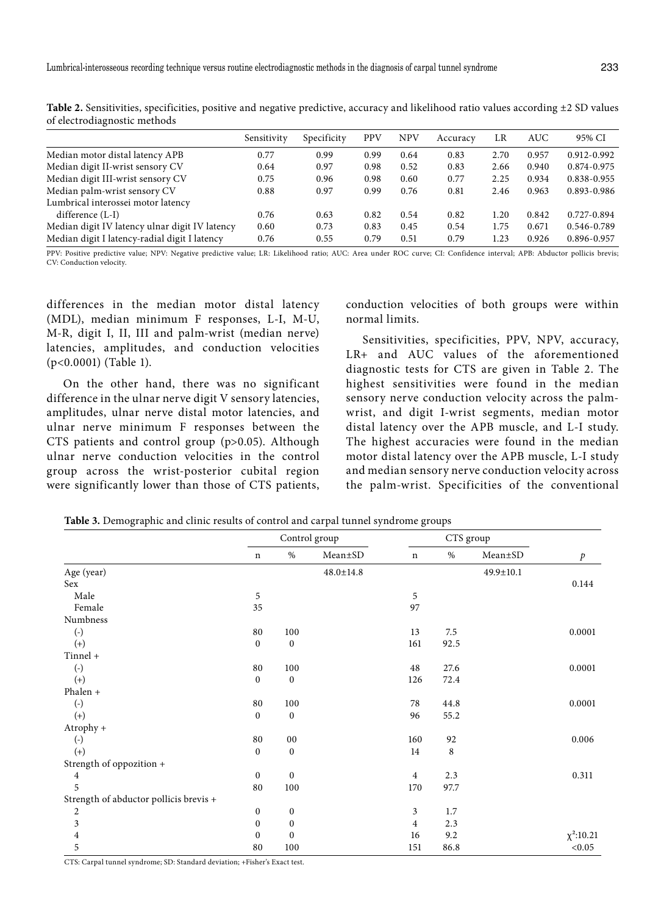| of electrodiagnostic methods                   |             |             |            |            |          |      |            |                 |
|------------------------------------------------|-------------|-------------|------------|------------|----------|------|------------|-----------------|
|                                                | Sensitivity | Specificity | <b>PPV</b> | <b>NPV</b> | Accuracy | LR   | <b>AUC</b> | 95% CI          |
| Median motor distal latency APB                | 0.77        | 0.99        | 0.99       | 0.64       | 0.83     | 2.70 | 0.957      | 0.912-0.992     |
| Median digit II-wrist sensory CV               | 0.64        | 0.97        | 0.98       | 0.52       | 0.83     | 2.66 | 0.940      | 0.874-0.975     |
| Median digit III-wrist sensory CV              | 0.75        | 0.96        | 0.98       | 0.60       | 0.77     | 2.25 | 0.934      | $0.838 - 0.955$ |
| Median palm-wrist sensory CV                   | 0.88        | 0.97        | 0.99       | 0.76       | 0.81     | 2.46 | 0.963      | 0.893-0.986     |
| Lumbrical interossei motor latency             |             |             |            |            |          |      |            |                 |
| difference $(L-I)$                             | 0.76        | 0.63        | 0.82       | 0.54       | 0.82     | 1.20 | 0.842      | 0.727-0.894     |
| Median digit IV latency ulnar digit IV latency | 0.60        | 0.73        | 0.83       | 0.45       | 0.54     | 1.75 | 0.671      | 0.546-0.789     |
| Median digit I latency-radial digit I latency  | 0.76        | 0.55        | 0.79       | 0.51       | 0.79     | 1.23 | 0.926      | 0.896-0.957     |

Table 2. Sensitivities, specificities, positive and negative predictive, accuracy and likelihood ratio values according  $\pm 2$  SD values of electrodiagnostic methods

PPV: Positive predictive value; NPV: Negative predictive value; LR: Likelihood ratio; AUC: Area under ROC curve; CI: Confidence interval; APB: Abductor pollicis brevis; CV: Conduction velocity.

differences in the median motor distal latency (MDL), median minimum F responses, L-I, M-U, M-R, digit I, II, III and palm-wrist (median nerve) latencies, amplitudes, and conduction velocities (p<0.0001) (Table 1).

On the other hand, there was no significant difference in the ulnar nerve digit V sensory latencies, amplitudes, ulnar nerve distal motor latencies, and ulnar nerve minimum F responses between the CTS patients and control group (p>0.05). Although ulnar nerve conduction velocities in the control group across the wrist-posterior cubital region were significantly lower than those of CTS patients, conduction velocities of both groups were within normal limits.

Sensitivities, specificities, PPV, NPV, accuracy, LR+ and AUC values of the aforementioned diagnostic tests for CTS are given in Table 2. The highest sensitivities were found in the median sensory nerve conduction velocity across the palmwrist, and digit I-wrist segments, median motor distal latency over the APB muscle, and L-I study. The highest accuracies were found in the median motor distal latency over the APB muscle, L-I study and median sensory nerve conduction velocity across the palm-wrist. Specificities of the conventional

|                                        | Control group    |                  | CTS group       |                |      |               |                  |
|----------------------------------------|------------------|------------------|-----------------|----------------|------|---------------|------------------|
|                                        | $\mathbf n$      | $\%$             | Mean±SD         | n              | $\%$ | $Mean \pm SD$ | $\boldsymbol{p}$ |
| Age (year)                             |                  |                  | $48.0 \pm 14.8$ |                |      | 49.9±10.1     |                  |
| Sex                                    |                  |                  |                 |                |      |               | 0.144            |
| Male                                   | 5                |                  |                 | 5              |      |               |                  |
| Female                                 | 35               |                  |                 | 97             |      |               |                  |
| Numbness                               |                  |                  |                 |                |      |               |                  |
| $\left( -\right)$                      | 80               | 100              |                 | 13             | 7.5  |               | 0.0001           |
| $(+)$                                  | $\mathbf{0}$     | $\boldsymbol{0}$ |                 | 161            | 92.5 |               |                  |
| Tinnel +                               |                  |                  |                 |                |      |               |                  |
| $(-)$                                  | 80               | 100              |                 | 48             | 27.6 |               | 0.0001           |
| $(+)$                                  | $\mathbf{0}$     | $\boldsymbol{0}$ |                 | 126            | 72.4 |               |                  |
| Phalen +                               |                  |                  |                 |                |      |               |                  |
| $(-)$                                  | 80               | 100              |                 | 78             | 44.8 |               | 0.0001           |
| $(+)$                                  | $\mathbf{0}$     | $\mathbf{0}$     |                 | 96             | 55.2 |               |                  |
| Atrophy +                              |                  |                  |                 |                |      |               |                  |
| $(-)$                                  | 80               | $00\,$           |                 | 160            | 92   |               | 0.006            |
| $(+)$                                  | $\mathbf{0}$     | $\boldsymbol{0}$ |                 | 14             | 8    |               |                  |
| Strength of oppozition +               |                  |                  |                 |                |      |               |                  |
| $\overline{\mathbf{4}}$                | $\mathbf{0}$     | $\mathbf{0}$     |                 | $\overline{4}$ | 2.3  |               | 0.311            |
| 5                                      | 80               | 100              |                 | 170            | 97.7 |               |                  |
| Strength of abductor pollicis brevis + |                  |                  |                 |                |      |               |                  |
| $\boldsymbol{2}$                       | $\boldsymbol{0}$ | $\boldsymbol{0}$ |                 | 3              | 1.7  |               |                  |
| $\overline{\mathbf{3}}$                | $\mathbf{0}$     | $\boldsymbol{0}$ |                 | $\overline{4}$ | 2.3  |               |                  |
| $\overline{\mathbf{4}}$                | $\mathbf{0}$     | $\mathbf{0}$     |                 | 16             | 9.2  |               | $\chi^2$ :10.21  |
| 5                                      | 80               | 100              |                 | 151            | 86.8 |               | < 0.05           |

**Table 3.** Demographic and clinic results of control and carpal tunnel syndrome groups

CTS: Carpal tunnel syndrome; SD: Standard deviation; +Fisher's Exact test.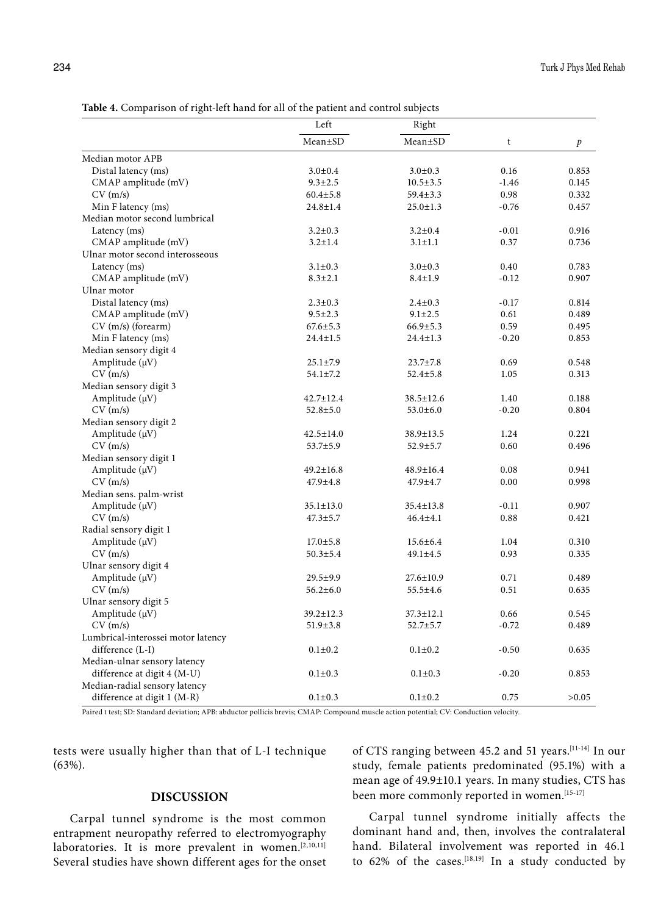|                                    | Left            | Right           |         |       |
|------------------------------------|-----------------|-----------------|---------|-------|
|                                    | Mean±SD         | $Mean \pm SD$   | t       | p     |
| Median motor APB                   |                 |                 |         |       |
| Distal latency (ms)                | $3.0 \pm 0.4$   | $3.0 \pm 0.3$   | 0.16    | 0.853 |
| CMAP amplitude (mV)                | $9.3 \pm 2.5$   | $10.5 \pm 3.5$  | $-1.46$ | 0.145 |
| CV(m/s)                            | $60.4 \pm 5.8$  | $59.4 \pm 3.3$  | 0.98    | 0.332 |
| Min F latency (ms)                 | $24.8 \pm 1.4$  | $25.0 \pm 1.3$  | $-0.76$ | 0.457 |
| Median motor second lumbrical      |                 |                 |         |       |
| Latency (ms)                       | $3.2 \pm 0.3$   | $3.2 \pm 0.4$   | $-0.01$ | 0.916 |
| CMAP amplitude (mV)                | $3.2 \pm 1.4$   | $3.1 \pm 1.1$   | 0.37    | 0.736 |
| Ulnar motor second interosseous    |                 |                 |         |       |
| Latency (ms)                       | $3.1 \pm 0.3$   | $3.0 \pm 0.3$   | 0.40    | 0.783 |
| CMAP amplitude (mV)                | $8.3 \pm 2.1$   | $8.4 \pm 1.9$   | $-0.12$ | 0.907 |
| Ulnar motor                        |                 |                 |         |       |
| Distal latency (ms)                | $2.3 \pm 0.3$   | $2.4 \pm 0.3$   | $-0.17$ | 0.814 |
| CMAP amplitude (mV)                | $9.5 \pm 2.3$   | $9.1 \pm 2.5$   | 0.61    | 0.489 |
| $CV$ (m/s) (forearm)               | $67.6 \pm 5.3$  | $66.9 \pm 5.3$  | 0.59    | 0.495 |
| Min F latency (ms)                 | $24.4 \pm 1.5$  | $24.4 \pm 1.3$  | $-0.20$ | 0.853 |
| Median sensory digit 4             |                 |                 |         |       |
| Amplitude $(\mu V)$                | $25.1 \pm 7.9$  | $23.7 \pm 7.8$  | 0.69    | 0.548 |
| CV(m/s)                            | $54.1 \pm 7.2$  | $52.4 \pm 5.8$  | 1.05    | 0.313 |
| Median sensory digit 3             |                 |                 |         |       |
| Amplitude $(\mu V)$                | $42.7 \pm 12.4$ | 38.5±12.6       | 1.40    | 0.188 |
| CV(m/s)                            | $52.8 \pm 5.0$  | $53.0 \pm 6.0$  | $-0.20$ | 0.804 |
| Median sensory digit 2             |                 |                 |         |       |
| Amplitude $(\mu V)$                | $42.5 \pm 14.0$ | 38.9±13.5       | 1.24    | 0.221 |
| CV(m/s)                            | 53.7±5.9        | $52.9 \pm 5.7$  | 0.60    | 0.496 |
| Median sensory digit 1             |                 |                 |         |       |
| Amplitude $(\mu V)$                | $49.2 \pm 16.8$ | 48.9±16.4       | 0.08    | 0.941 |
| CV(m/s)                            | $47.9 \pm 4.8$  | 47.9±4.7        | 0.00    | 0.998 |
| Median sens. palm-wrist            |                 |                 |         |       |
|                                    |                 |                 | $-0.11$ | 0.907 |
| Amplitude $(\mu V)$<br>CV(m/s)     | $35.1 \pm 13.0$ | $35.4 \pm 13.8$ | 0.88    | 0.421 |
|                                    | $47.3 \pm 5.7$  | $46.4 \pm 4.1$  |         |       |
| Radial sensory digit 1             |                 |                 |         |       |
| Amplitude $(\mu V)$                | $17.0 \pm 5.8$  | $15.6 \pm 6.4$  | 1.04    | 0.310 |
| CV(m/s)                            | $50.3 \pm 5.4$  | $49.1 \pm 4.5$  | 0.93    | 0.335 |
| Ulnar sensory digit 4              |                 |                 |         |       |
| Amplitude $(\mu V)$                | $29.5 \pm 9.9$  | $27.6 \pm 10.9$ | 0.71    | 0.489 |
| CV(m/s)                            | $56.2 \pm 6.0$  | $55.5 \pm 4.6$  | 0.51    | 0.635 |
| Ulnar sensory digit 5              |                 |                 |         |       |
| Amplitude $(\mu V)$                | 39.2±12.3       | $37.3 \pm 12.1$ | 0.66    | 0.545 |
| CV(m/s)                            | $51.9 \pm 3.8$  | $52.7 \pm 5.7$  | $-0.72$ | 0.489 |
| Lumbrical-interossei motor latency |                 |                 |         |       |
| difference (L-I)                   | $0.1 \pm 0.2$   | $0.1 \pm 0.2$   | $-0.50$ | 0.635 |
| Median-ulnar sensory latency       |                 |                 |         |       |
| difference at digit 4 (M-U)        | $0.1 \pm 0.3$   | $0.1 \pm 0.3$   | $-0.20$ | 0.853 |
| Median-radial sensory latency      |                 |                 |         |       |
| difference at digit 1 (M-R)        | $0.1 \pm 0.3$   | $0.1 \pm 0.2$   | 0.75    | >0.05 |

**Table 4.** Comparison of right-left hand for all of the patient and control subjects

1al; CV: Conduction velocity.

tests were usually higher than that of L-I technique (63%).

# **DISCUSSION**

Carpal tunnel syndrome is the most common entrapment neuropathy referred to electromyography laboratories. It is more prevalent in women.<sup>[2,10,11]</sup> Several studies have shown different ages for the onset of CTS ranging between 45.2 and 51 years.[11-14] In our study, female patients predominated (95.1%) with a mean age of 49.9±10.1 years. In many studies, CTS has been more commonly reported in women.<sup>[15-17]</sup>

Carpal tunnel syndrome initially affects the dominant hand and, then, involves the contralateral hand. Bilateral involvement was reported in 46.1 to  $62\%$  of the cases.<sup>[18,19]</sup> In a study conducted by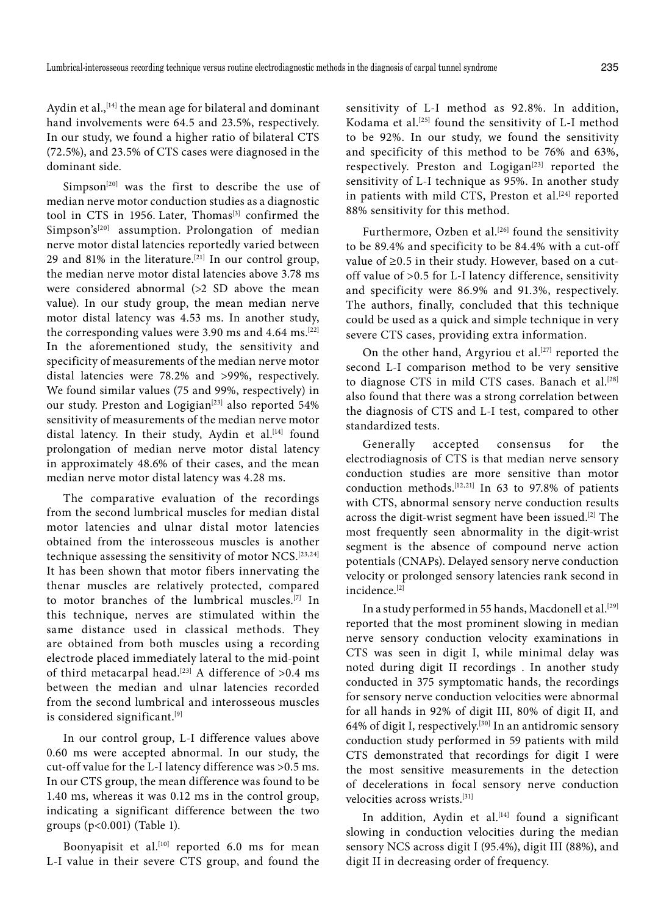Aydin et al.,<sup>[14]</sup> the mean age for bilateral and dominant hand involvements were 64.5 and 23.5%, respectively. In our study, we found a higher ratio of bilateral CTS (72.5%), and 23.5% of CTS cases were diagnosed in the dominant side.

Simpson<sup>[20]</sup> was the first to describe the use of median nerve motor conduction studies as a diagnostic tool in CTS in 1956. Later, Thomas<sup>[3]</sup> confirmed the Simpson's<sup>[20]</sup> assumption. Prolongation of median nerve motor distal latencies reportedly varied between 29 and 81% in the literature.<sup>[21]</sup> In our control group, the median nerve motor distal latencies above 3.78 ms were considered abnormal (>2 SD above the mean value). In our study group, the mean median nerve motor distal latency was 4.53 ms. In another study, the corresponding values were 3.90 ms and 4.64 ms.<sup>[22]</sup> In the aforementioned study, the sensitivity and specificity of measurements of the median nerve motor distal latencies were 78.2% and >99%, respectively. We found similar values (75 and 99%, respectively) in our study. Preston and Logigian<sup>[23]</sup> also reported 54% sensitivity of measurements of the median nerve motor distal latency. In their study, Aydin et al.<sup>[14]</sup> found prolongation of median nerve motor distal latency in approximately 48.6% of their cases, and the mean median nerve motor distal latency was 4.28 ms.

The comparative evaluation of the recordings from the second lumbrical muscles for median distal motor latencies and ulnar distal motor latencies obtained from the interosseous muscles is another technique assessing the sensitivity of motor NCS.<sup>[23,24]</sup> It has been shown that motor fibers innervating the thenar muscles are relatively protected, compared to motor branches of the lumbrical muscles.[7] In this technique, nerves are stimulated within the same distance used in classical methods. They are obtained from both muscles using a recording electrode placed immediately lateral to the mid-point of third metacarpal head.<sup>[23]</sup> A difference of  $>0.4$  ms between the median and ulnar latencies recorded from the second lumbrical and interosseous muscles is considered significant.[9]

In our control group, L-I difference values above 0.60 ms were accepted abnormal. In our study, the cut-off value for the L-I latency difference was >0.5 ms. In our CTS group, the mean difference was found to be 1.40 ms, whereas it was 0.12 ms in the control group, indicating a significant difference between the two groups (p<0.001) (Table 1).

Boonyapisit et al.<sup>[10]</sup> reported 6.0 ms for mean L-I value in their severe CTS group, and found the sensitivity of L-I method as 92.8%. In addition, Kodama et al.<sup>[25]</sup> found the sensitivity of L-I method to be 92%. In our study, we found the sensitivity and specificity of this method to be 76% and 63%, respectively. Preston and Logigan<sup>[23]</sup> reported the sensitivity of L-I technique as 95%. In another study in patients with mild CTS, Preston et al.<sup>[24]</sup> reported 88% sensitivity for this method.

Furthermore, Ozben et al.<sup>[26]</sup> found the sensitivity to be 89.4% and specificity to be 84.4% with a cut-off value of ≥0.5 in their study. However, based on a cutoff value of >0.5 for L-I latency difference, sensitivity and specificity were 86.9% and 91.3%, respectively. The authors, finally, concluded that this technique could be used as a quick and simple technique in very severe CTS cases, providing extra information.

On the other hand, Argyriou et al.<sup>[27]</sup> reported the second L-I comparison method to be very sensitive to diagnose CTS in mild CTS cases. Banach et al.<sup>[28]</sup> also found that there was a strong correlation between the diagnosis of CTS and L-I test, compared to other standardized tests.

Generally accepted consensus for the electrodiagnosis of CTS is that median nerve sensory conduction studies are more sensitive than motor conduction methods.<sup>[12,21]</sup> In 63 to 97.8% of patients with CTS, abnormal sensory nerve conduction results across the digit-wrist segment have been issued.<sup>[2]</sup> The most frequently seen abnormality in the digit-wrist segment is the absence of compound nerve action potentials (CNAPs). Delayed sensory nerve conduction velocity or prolonged sensory latencies rank second in incidence.[2]

In a study performed in 55 hands, Macdonell et al.<sup>[29]</sup> reported that the most prominent slowing in median nerve sensory conduction velocity examinations in CTS was seen in digit I, while minimal delay was noted during digit II recordings . In another study conducted in 375 symptomatic hands, the recordings for sensory nerve conduction velocities were abnormal for all hands in 92% of digit III, 80% of digit II, and 64% of digit I, respectively.<sup>[30]</sup> In an antidromic sensory conduction study performed in 59 patients with mild CTS demonstrated that recordings for digit I were the most sensitive measurements in the detection of decelerations in focal sensory nerve conduction velocities across wrists.[31]

In addition, Aydin et al.<sup>[14]</sup> found a significant slowing in conduction velocities during the median sensory NCS across digit I (95.4%), digit III (88%), and digit II in decreasing order of frequency.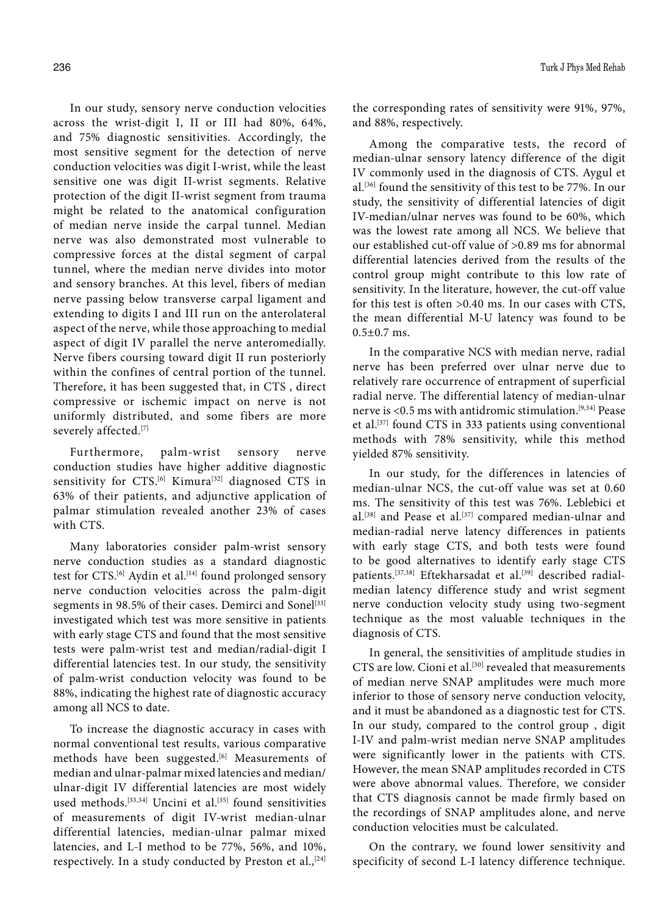In our study, sensory nerve conduction velocities across the wrist-digit I, II or III had 80%, 64%, and 75% diagnostic sensitivities. Accordingly, the most sensitive segment for the detection of nerve conduction velocities was digit I-wrist, while the least sensitive one was digit II-wrist segments. Relative protection of the digit II-wrist segment from trauma might be related to the anatomical configuration of median nerve inside the carpal tunnel. Median nerve was also demonstrated most vulnerable to compressive forces at the distal segment of carpal tunnel, where the median nerve divides into motor and sensory branches. At this level, fibers of median nerve passing below transverse carpal ligament and extending to digits I and III run on the anterolateral aspect of the nerve, while those approaching to medial aspect of digit IV parallel the nerve anteromedially. Nerve fibers coursing toward digit II run posteriorly within the confines of central portion of the tunnel. Therefore, it has been suggested that, in CTS , direct compressive or ischemic impact on nerve is not uniformly distributed, and some fibers are more severely affected.[7]

Furthermore, palm-wrist sensory nerve conduction studies have higher additive diagnostic sensitivity for CTS.<sup>[6]</sup> Kimura<sup>[32]</sup> diagnosed CTS in 63% of their patients, and adjunctive application of palmar stimulation revealed another 23% of cases with CTS.

Many laboratories consider palm-wrist sensory nerve conduction studies as a standard diagnostic test for CTS.<sup>[6]</sup> Aydin et al.<sup>[14]</sup> found prolonged sensory nerve conduction velocities across the palm-digit segments in 98.5% of their cases. Demirci and Sonel<sup>[33]</sup> investigated which test was more sensitive in patients with early stage CTS and found that the most sensitive tests were palm-wrist test and median/radial-digit I differential latencies test. In our study, the sensitivity of palm-wrist conduction velocity was found to be 88%, indicating the highest rate of diagnostic accuracy among all NCS to date.

To increase the diagnostic accuracy in cases with normal conventional test results, various comparative methods have been suggested.<sup>[6]</sup> Measurements of median and ulnar-palmar mixed latencies and median/ ulnar-digit IV differential latencies are most widely used methods.<sup>[33,34]</sup> Uncini et al.<sup>[35]</sup> found sensitivities of measurements of digit IV-wrist median-ulnar differential latencies, median-ulnar palmar mixed latencies, and L-I method to be 77%, 56%, and 10%, respectively. In a study conducted by Preston et al.,<sup>[24]</sup> the corresponding rates of sensitivity were 91%, 97%, and 88%, respectively.

Among the comparative tests, the record of median-ulnar sensory latency difference of the digit IV commonly used in the diagnosis of CTS. Aygul et al.[36] found the sensitivity of this test to be 77%. In our study, the sensitivity of differential latencies of digit IV-median/ulnar nerves was found to be 60%, which was the lowest rate among all NCS. We believe that our established cut-off value of >0.89 ms for abnormal differential latencies derived from the results of the control group might contribute to this low rate of sensitivity. In the literature, however, the cut-off value for this test is often >0.40 ms. In our cases with CTS, the mean differential M-U latency was found to be  $0.5 \pm 0.7$  ms.

In the comparative NCS with median nerve, radial nerve has been preferred over ulnar nerve due to relatively rare occurrence of entrapment of superficial radial nerve. The differential latency of median-ulnar nerve is <0.5 ms with antidromic stimulation.[9,34] Pease et al.[37] found CTS in 333 patients using conventional methods with 78% sensitivity, while this method yielded 87% sensitivity.

In our study, for the differences in latencies of median-ulnar NCS, the cut-off value was set at 0.60 ms. The sensitivity of this test was 76%. Leblebici et al.<sup>[38]</sup> and Pease et al.<sup>[37]</sup> compared median-ulnar and median-radial nerve latency differences in patients with early stage CTS, and both tests were found to be good alternatives to identify early stage CTS patients.<sup>[37,38]</sup> Eftekharsadat et al.<sup>[39]</sup> described radialmedian latency difference study and wrist segment nerve conduction velocity study using two-segment technique as the most valuable techniques in the diagnosis of CTS.

In general, the sensitivities of amplitude studies in CTS are low. Cioni et al.<sup>[30]</sup> revealed that measurements of median nerve SNAP amplitudes were much more inferior to those of sensory nerve conduction velocity, and it must be abandoned as a diagnostic test for CTS. In our study, compared to the control group , digit I-IV and palm-wrist median nerve SNAP amplitudes were significantly lower in the patients with CTS. However, the mean SNAP amplitudes recorded in CTS were above abnormal values. Therefore, we consider that CTS diagnosis cannot be made firmly based on the recordings of SNAP amplitudes alone, and nerve conduction velocities must be calculated.

On the contrary, we found lower sensitivity and specificity of second L-I latency difference technique.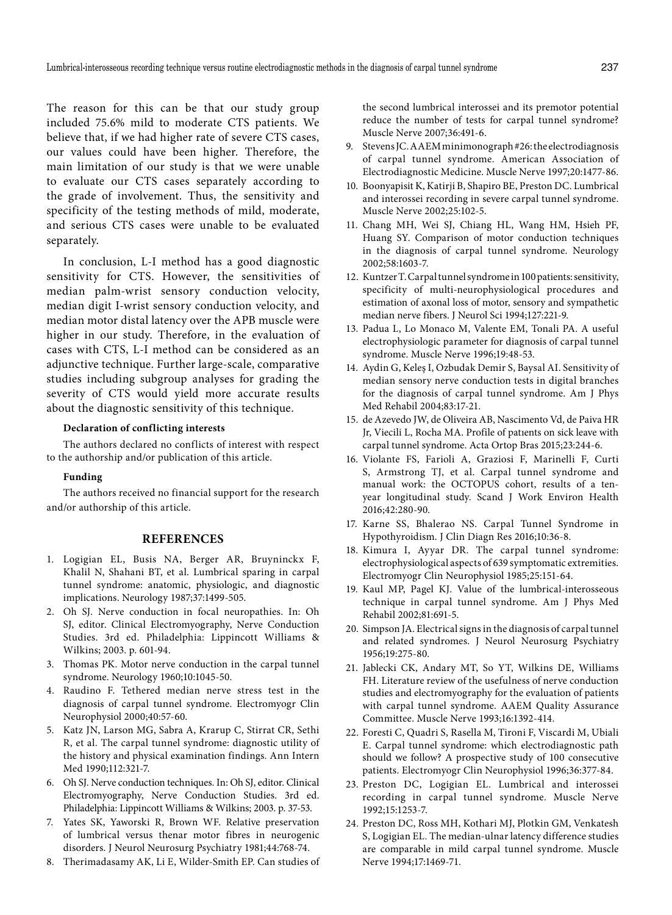The reason for this can be that our study group included 75.6% mild to moderate CTS patients. We believe that, if we had higher rate of severe CTS cases, our values could have been higher. Therefore, the main limitation of our study is that we were unable to evaluate our CTS cases separately according to the grade of involvement. Thus, the sensitivity and specificity of the testing methods of mild, moderate, and serious CTS cases were unable to be evaluated separately.

In conclusion, L-I method has a good diagnostic sensitivity for CTS. However, the sensitivities of median palm-wrist sensory conduction velocity, median digit I-wrist sensory conduction velocity, and median motor distal latency over the APB muscle were higher in our study. Therefore, in the evaluation of cases with CTS, L-I method can be considered as an adjunctive technique. Further large-scale, comparative studies including subgroup analyses for grading the severity of CTS would yield more accurate results about the diagnostic sensitivity of this technique.

## **Declaration of conflicting interests**

The authors declared no conflicts of interest with respect to the authorship and/or publication of this article.

#### **Funding**

The authors received no financial support for the research and/or authorship of this article.

#### **REFERENCES**

- 1. Logigian EL, Busis NA, Berger AR, Bruyninckx F, Khalil N, Shahani BT, et al. Lumbrical sparing in carpal tunnel syndrome: anatomic, physiologic, and diagnostic implications. Neurology 1987;37:1499-505.
- 2. Oh SJ. Nerve conduction in focal neuropathies. In: Oh SJ, editor. Clinical Electromyography, Nerve Conduction Studies. 3rd ed. Philadelphia: Lippincott Williams & Wilkins; 2003. p. 601-94.
- 3. Thomas PK. Motor nerve conduction in the carpal tunnel syndrome. Neurology 1960;10:1045-50.
- 4. Raudino F. Tethered median nerve stress test in the diagnosis of carpal tunnel syndrome. Electromyogr Clin Neurophysiol 2000;40:57-60.
- 5. Katz JN, Larson MG, Sabra A, Krarup C, Stirrat CR, Sethi R, et al. The carpal tunnel syndrome: diagnostic utility of the history and physical examination findings. Ann Intern Med 1990;112:321-7.
- 6. Oh SJ. Nerve conduction techniques. In: Oh SJ, editor. Clinical Electromyography, Nerve Conduction Studies. 3rd ed. Philadelphia: Lippincott Williams & Wilkins; 2003. p. 37-53.
- 7. Yates SK, Yaworski R, Brown WF. Relative preservation of lumbrical versus thenar motor fibres in neurogenic disorders. J Neurol Neurosurg Psychiatry 1981;44:768-74.
- 8. Therimadasamy AK, Li E, Wilder-Smith EP. Can studies of

the second lumbrical interossei and its premotor potential reduce the number of tests for carpal tunnel syndrome? Muscle Nerve 2007;36:491-6.

- 9. Stevens JC. AAEM minimonograph #26: the electrodiagnosis of carpal tunnel syndrome. American Association of Electrodiagnostic Medicine. Muscle Nerve 1997;20:1477-86.
- 10. Boonyapisit K, Katirji B, Shapiro BE, Preston DC. Lumbrical and interossei recording in severe carpal tunnel syndrome. Muscle Nerve 2002;25:102-5.
- 11. Chang MH, Wei SJ, Chiang HL, Wang HM, Hsieh PF, Huang SY. Comparison of motor conduction techniques in the diagnosis of carpal tunnel syndrome. Neurology 2002;58:1603-7.
- 12. Kuntzer T. Carpal tunnel syndrome in 100 patients: sensitivity, specificity of multi-neurophysiological procedures and estimation of axonal loss of motor, sensory and sympathetic median nerve fibers. J Neurol Sci 1994;127:221-9.
- 13. Padua L, Lo Monaco M, Valente EM, Tonali PA. A useful electrophysiologic parameter for diagnosis of carpal tunnel syndrome. Muscle Nerve 1996;19:48-53.
- 14. Aydin G, Keleş I, Ozbudak Demir S, Baysal AI. Sensitivity of median sensory nerve conduction tests in digital branches for the diagnosis of carpal tunnel syndrome. Am J Phys Med Rehabil 2004;83:17-21.
- 15. de Azevedo JW, de Oliveira AB, Nascimento Vd, de Paiva HR Jr, Viecili L, Rocha MA. Profile of patıents on sick leave with carpal tunnel syndrome. Acta Ortop Bras 2015;23:244-6.
- 16. Violante FS, Farioli A, Graziosi F, Marinelli F, Curti S, Armstrong TJ, et al. Carpal tunnel syndrome and manual work: the OCTOPUS cohort, results of a tenyear longitudinal study. Scand J Work Environ Health 2016;42:280-90.
- 17. Karne SS, Bhalerao NS. Carpal Tunnel Syndrome in Hypothyroidism. J Clin Diagn Res 2016;10:36-8.
- 18. Kimura I, Ayyar DR. The carpal tunnel syndrome: electrophysiological aspects of 639 symptomatic extremities. Electromyogr Clin Neurophysiol 1985;25:151-64.
- 19. Kaul MP, Pagel KJ. Value of the lumbrical-interosseous technique in carpal tunnel syndrome. Am J Phys Med Rehabil 2002;81:691-5.
- 20. Simpson JA. Electrical signs in the diagnosis of carpal tunnel and related syndromes. J Neurol Neurosurg Psychiatry 1956;19:275-80.
- 21. Jablecki CK, Andary MT, So YT, Wilkins DE, Williams FH. Literature review of the usefulness of nerve conduction studies and electromyography for the evaluation of patients with carpal tunnel syndrome. AAEM Quality Assurance Committee. Muscle Nerve 1993;16:1392-414.
- 22. Foresti C, Quadri S, Rasella M, Tironi F, Viscardi M, Ubiali E. Carpal tunnel syndrome: which electrodiagnostic path should we follow? A prospective study of 100 consecutive patients. Electromyogr Clin Neurophysiol 1996;36:377-84.
- 23. Preston DC, Logigian EL. Lumbrical and interossei recording in carpal tunnel syndrome. Muscle Nerve 1992;15:1253-7.
- 24. Preston DC, Ross MH, Kothari MJ, Plotkin GM, Venkatesh S, Logigian EL. The median-ulnar latency difference studies are comparable in mild carpal tunnel syndrome. Muscle Nerve 1994;17:1469-71.